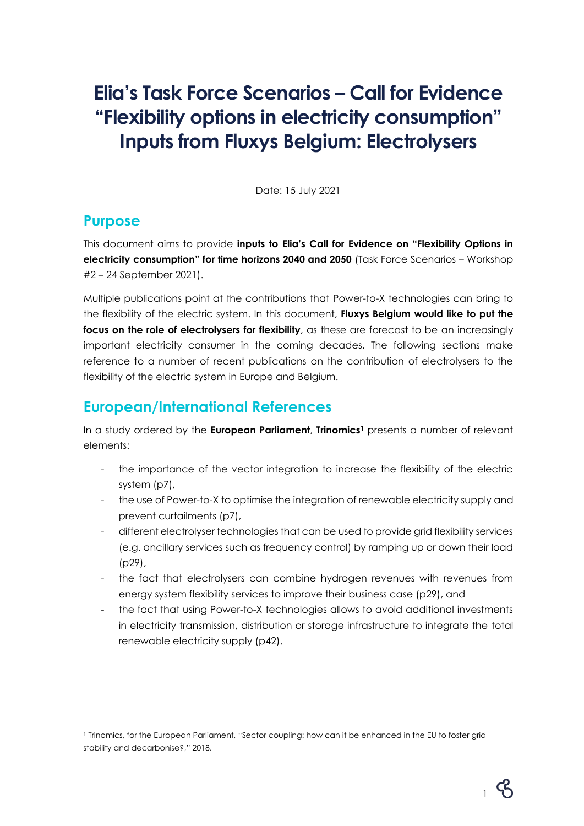# **Elia's Task Force Scenarios – Call for Evidence "Flexibility options in electricity consumption" Inputs from Fluxys Belgium: Electrolysers**

Date: 15 July 2021

### **Purpose**

This document aims to provide **inputs to Elia's Call for Evidence on "Flexibility Options in electricity consumption" for time horizons 2040 and 2050** (Task Force Scenarios – Workshop #2 – 24 September 2021).

Multiple publications point at the contributions that Power-to-X technologies can bring to the flexibility of the electric system. In this document, **Fluxys Belgium would like to put the focus on the role of electrolysers for flexibility**, as these are forecast to be an increasingly important electricity consumer in the coming decades. The following sections make reference to a number of recent publications on the contribution of electrolysers to the flexibility of the electric system in Europe and Belgium.

# **European/International References**

In a study ordered by the **European Parliament**, **Trinomics<sup>1</sup>** presents a number of relevant elements:

- the importance of the vector integration to increase the flexibility of the electric system (p7),
- the use of Power-to-X to optimise the integration of renewable electricity supply and prevent curtailments (p7),
- different electrolyser technologies that can be used to provide grid flexibility services (e.g. ancillary services such as frequency control) by ramping up or down their load (p29),
- the fact that electrolysers can combine hydrogen revenues with revenues from energy system flexibility services to improve their business case (p29), and
- the fact that using Power-to-X technologies allows to avoid additional investments in electricity transmission, distribution or storage infrastructure to integrate the total renewable electricity supply (p42).

<sup>1</sup> Trinomics, for the European Parliament, "Sector coupling: how can it be enhanced in the EU to foster grid stability and decarbonise?," 2018.



1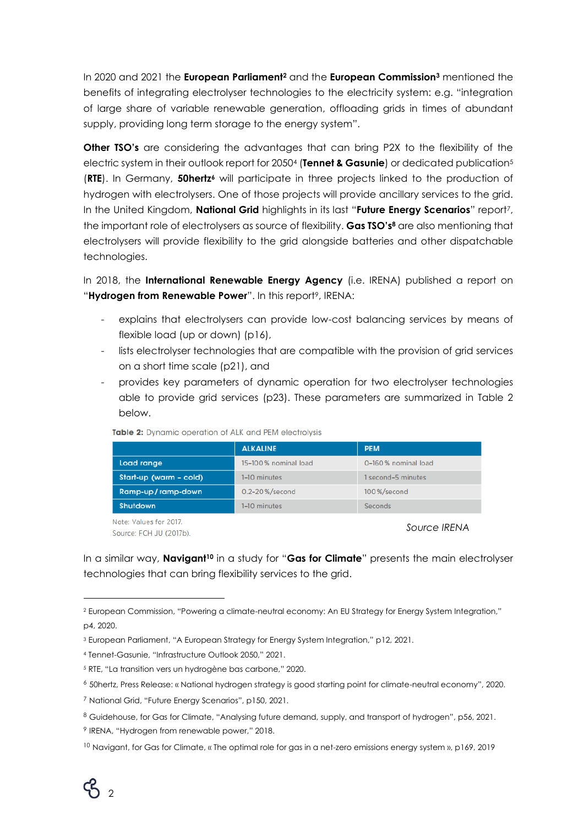In 2020 and 2021 the **European Parliament<sup>2</sup>** and the **European Commission<sup>3</sup>** mentioned the benefits of integrating electrolyser technologies to the electricity system: e.g. "integration of large share of variable renewable generation, offloading grids in times of abundant supply, providing long term storage to the energy system".

**Other TSO's** are considering the advantages that can bring P2X to the flexibility of the electric system in their outlook report for 2050<sup>4</sup> (**Tennet & Gasunie**) or dedicated publication<sup>5</sup> (**RTE**). In Germany, **50hertz<sup>6</sup>** will participate in three projects linked to the production of hydrogen with electrolysers. One of those projects will provide ancillary services to the grid. In the United Kingdom, **National Grid** highlights in its last "**Future Energy Scenarios**" report7, the important role of electrolysers as source of flexibility. **Gas TSO's<sup>8</sup>** are also mentioning that electrolysers will provide flexibility to the grid alongside batteries and other dispatchable technologies.

In 2018, the **International Renewable Energy Agency** (i.e. IRENA) published a report on "Hydrogen from Renewable Power". In this report<sup>9</sup>, IRENA:

- explains that electrolysers can provide low-cost balancing services by means of flexible load (up or down) (p16),
- lists electrolyser technologies that are compatible with the provision of grid services on a short time scale (p21), and
- provides key parameters of dynamic operation for two electrolyser technologies able to provide grid services (p23). These parameters are summarized in Table 2 below.

|                        | <b>ALKALINE</b>      | <b>PEM</b>          |
|------------------------|----------------------|---------------------|
| Load range             | 15-100% nominal load | 0-160% nominal load |
| Start-up (warm - cold) | 1-10 minutes         | second-5 minutes    |
| Ramp-up/ramp-down      | 0.2-20%/second       | 100%/second         |
| <b>Shutdown</b>        | 1-10 minutes         | Seconds             |

Table 2: Dynamic operation of ALK and PEM electrolysis

Note: Values for 2017. Source: FCH JU (2017b).

#### *Source IRENA*

In a similar way, **Navigant<sup>10</sup>** in a study for "**Gas for Climate**" presents the main electrolyser technologies that can bring flexibility services to the grid.

<sup>2</sup> European Commission, "Powering a climate-neutral economy: An EU Strategy for Energy System Integration," p4, 2020.

<sup>3</sup> European Parliament, "A European Strategy for Energy System Integration," p12, 2021.

<sup>4</sup> Tennet-Gasunie, "Infrastructure Outlook 2050," 2021.

<sup>5</sup> RTE, "La transition vers un hydrogène bas carbone," 2020.

<sup>6</sup> 50hertz, Press Release: « National hydrogen strategy is good starting point for climate-neutral economy", 2020.

<sup>7</sup> National Grid, "Future Energy Scenarios", p150, 2021.

<sup>8</sup> Guidehouse, for Gas for Climate, "Analysing future demand, supply, and transport of hydrogen", p56, 2021.

<sup>&</sup>lt;sup>9</sup> IRENA, "Hydrogen from renewable power," 2018.

<sup>&</sup>lt;sup>10</sup> Navigant, for Gas for Climate, « The optimal role for gas in a net-zero emissions energy system », p169, 2019